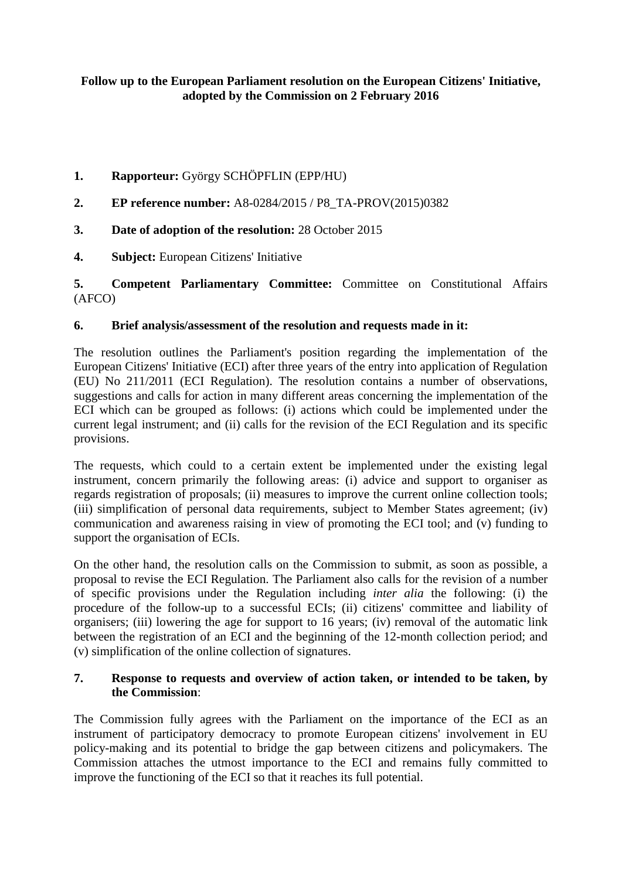# **Follow up to the European Parliament resolution on the European Citizens' Initiative, adopted by the Commission on 2 February 2016**

- **1. Rapporteur:** György SCHÖPFLIN (EPP/HU)
- **2. EP reference number:** [A8-0284/2015](http://www.europarl.europa.eu/sides/getDoc.do?type=REPORT&reference=A8-2015-0284&language=EN) / P8\_TA-PROV(2015)0382
- **3. Date of adoption of the resolution:** 28 October 2015
- **4. Subject:** European Citizens' Initiative

**5. Competent Parliamentary Committee:** Committee on Constitutional Affairs (AFCO)

## **6. Brief analysis/assessment of the resolution and requests made in it:**

The resolution outlines the Parliament's position regarding the implementation of the European Citizens' Initiative (ECI) after three years of the entry into application of Regulation (EU) No 211/2011 (ECI Regulation). The resolution contains a number of observations, suggestions and calls for action in many different areas concerning the implementation of the ECI which can be grouped as follows: (i) actions which could be implemented under the current legal instrument; and (ii) calls for the revision of the ECI Regulation and its specific provisions.

The requests, which could to a certain extent be implemented under the existing legal instrument, concern primarily the following areas: (i) advice and support to organiser as regards registration of proposals; (ii) measures to improve the current online collection tools; (iii) simplification of personal data requirements, subject to Member States agreement; (iv) communication and awareness raising in view of promoting the ECI tool; and (v) funding to support the organisation of ECIs.

On the other hand, the resolution calls on the Commission to submit, as soon as possible, a proposal to revise the ECI Regulation. The Parliament also calls for the revision of a number of specific provisions under the Regulation including *inter alia* the following: (i) the procedure of the follow-up to a successful ECIs; (ii) citizens' committee and liability of organisers; (iii) lowering the age for support to 16 years; (iv) removal of the automatic link between the registration of an ECI and the beginning of the 12-month collection period; and (v) simplification of the online collection of signatures.

#### **7. Response to requests and overview of action taken, or intended to be taken, by the Commission**:

The Commission fully agrees with the Parliament on the importance of the ECI as an instrument of participatory democracy to promote European citizens' involvement in EU policy-making and its potential to bridge the gap between citizens and policymakers. The Commission attaches the utmost importance to the ECI and remains fully committed to improve the functioning of the ECI so that it reaches its full potential.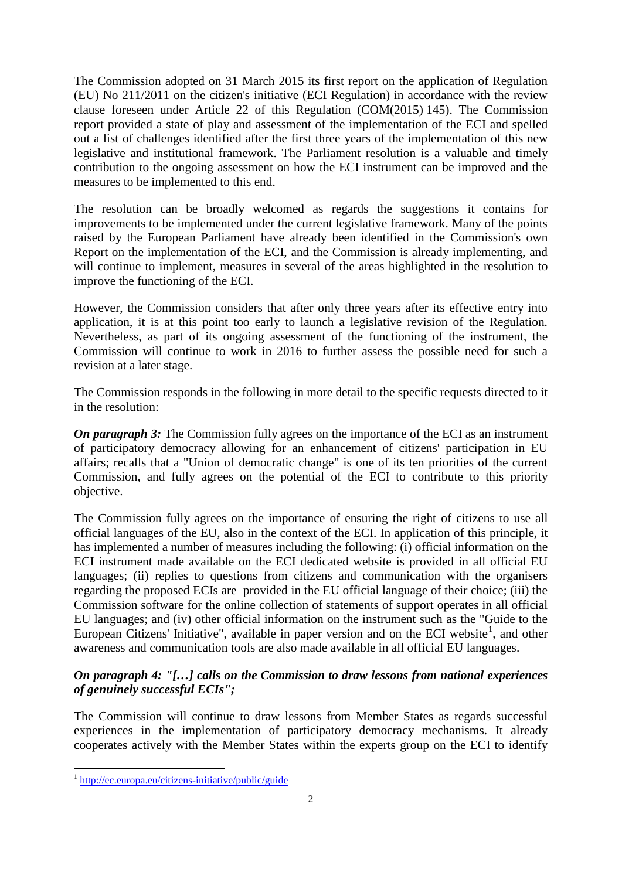The Commission adopted on 31 March 2015 its first report on the application of Regulation (EU) No 211/2011 on the citizen's initiative (ECI Regulation) in accordance with the review clause foreseen under Article 22 of this Regulation (COM(2015) 145). The Commission report provided a state of play and assessment of the implementation of the ECI and spelled out a list of challenges identified after the first three years of the implementation of this new legislative and institutional framework. The Parliament resolution is a valuable and timely contribution to the ongoing assessment on how the ECI instrument can be improved and the measures to be implemented to this end.

The resolution can be broadly welcomed as regards the suggestions it contains for improvements to be implemented under the current legislative framework. Many of the points raised by the European Parliament have already been identified in the Commission's own Report on the implementation of the ECI, and the Commission is already implementing, and will continue to implement, measures in several of the areas highlighted in the resolution to improve the functioning of the ECI.

However, the Commission considers that after only three years after its effective entry into application, it is at this point too early to launch a legislative revision of the Regulation. Nevertheless, as part of its ongoing assessment of the functioning of the instrument, the Commission will continue to work in 2016 to further assess the possible need for such a revision at a later stage.

The Commission responds in the following in more detail to the specific requests directed to it in the resolution:

*On paragraph 3:* The Commission fully agrees on the importance of the ECI as an instrument of participatory democracy allowing for an enhancement of citizens' participation in EU affairs; recalls that a "Union of democratic change" is one of its ten priorities of the current Commission, and fully agrees on the potential of the ECI to contribute to this priority objective.

The Commission fully agrees on the importance of ensuring the right of citizens to use all official languages of the EU, also in the context of the ECI. In application of this principle, it has implemented a number of measures including the following: (i) official information on the ECI instrument made available on the ECI dedicated website is provided in all official EU languages; (ii) replies to questions from citizens and communication with the organisers regarding the proposed ECIs are provided in the EU official language of their choice; (iii) the Commission software for the online collection of statements of support operates in all official EU languages; and (iv) other official information on the instrument such as the "Guide to the European Citizens' Initiative", available in paper version and on the ECI website<sup>[1](#page-1-0)</sup>, and other awareness and communication tools are also made available in all official EU languages.

## *On paragraph 4: "[…] calls on the Commission to draw lessons from national experiences of genuinely successful ECIs";*

The Commission will continue to draw lessons from Member States as regards successful experiences in the implementation of participatory democracy mechanisms. It already cooperates actively with the Member States within the experts group on the ECI to identify

<span id="page-1-0"></span> $\frac{1}{1}$ <sup>1</sup> <http://ec.europa.eu/citizens-initiative/public/guide>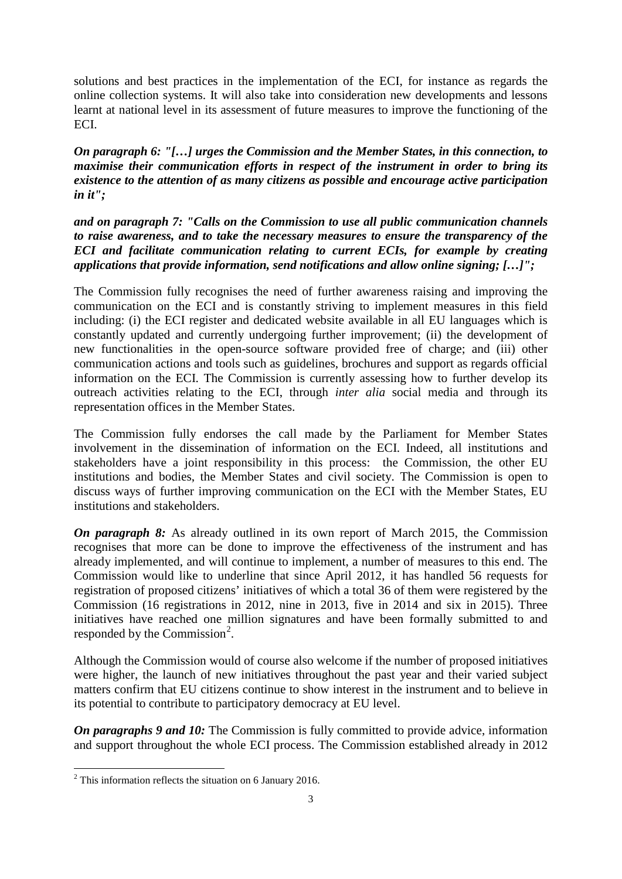solutions and best practices in the implementation of the ECI, for instance as regards the online collection systems. It will also take into consideration new developments and lessons learnt at national level in its assessment of future measures to improve the functioning of the ECI.

*On paragraph 6: "[…] urges the Commission and the Member States, in this connection, to maximise their communication efforts in respect of the instrument in order to bring its existence to the attention of as many citizens as possible and encourage active participation in it";*

*and on paragraph 7: "Calls on the Commission to use all public communication channels to raise awareness, and to take the necessary measures to ensure the transparency of the ECI and facilitate communication relating to current ECIs, for example by creating applications that provide information, send notifications and allow online signing; […]";*

The Commission fully recognises the need of further awareness raising and improving the communication on the ECI and is constantly striving to implement measures in this field including: (i) the ECI register and dedicated website available in all EU languages which is constantly updated and currently undergoing further improvement; (ii) the development of new functionalities in the open-source software provided free of charge; and (iii) other communication actions and tools such as guidelines, brochures and support as regards official information on the ECI. The Commission is currently assessing how to further develop its outreach activities relating to the ECI, through *inter alia* social media and through its representation offices in the Member States.

The Commission fully endorses the call made by the Parliament for Member States involvement in the dissemination of information on the ECI. Indeed, all institutions and stakeholders have a joint responsibility in this process: the Commission, the other EU institutions and bodies, the Member States and civil society. The Commission is open to discuss ways of further improving communication on the ECI with the Member States, EU institutions and stakeholders.

*On paragraph 8:* As already outlined in its own report of March 2015, the Commission recognises that more can be done to improve the effectiveness of the instrument and has already implemented, and will continue to implement, a number of measures to this end. The Commission would like to underline that since April 2012, it has handled 56 requests for registration of proposed citizens' initiatives of which a total 36 of them were registered by the Commission (16 registrations in 2012, nine in 2013, five in 2014 and six in 2015). Three initiatives have reached one million signatures and have been formally submitted to and responded by the Commission<sup>[2](#page-2-0)</sup>.

Although the Commission would of course also welcome if the number of proposed initiatives were higher, the launch of new initiatives throughout the past year and their varied subject matters confirm that EU citizens continue to show interest in the instrument and to believe in its potential to contribute to participatory democracy at EU level.

*On paragraphs 9 and 10:* The Commission is fully committed to provide advice, information and support throughout the whole ECI process. The Commission established already in 2012

<span id="page-2-0"></span> $\overline{a}$  $2$  This information reflects the situation on 6 January 2016.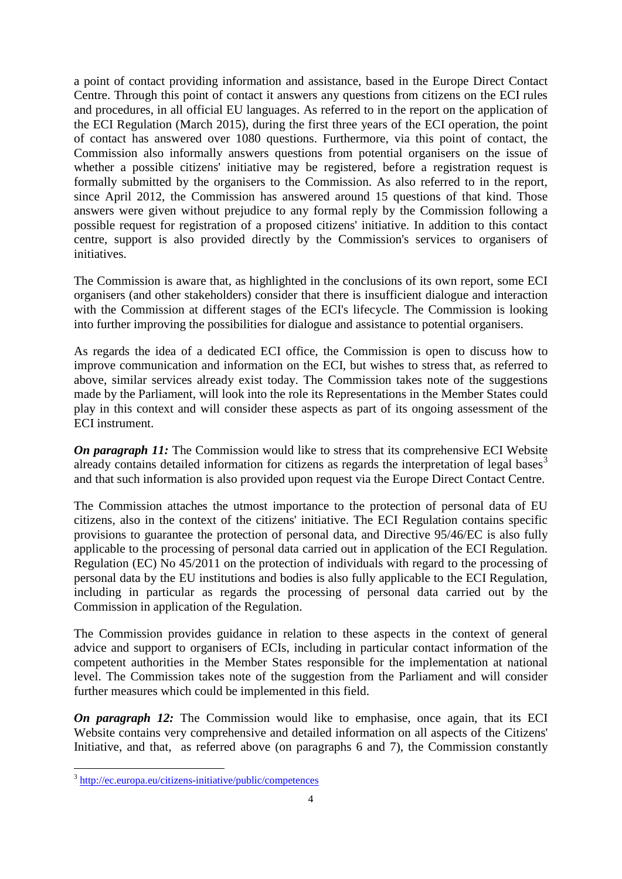a point of contact providing information and assistance, based in the Europe Direct Contact Centre. Through this point of contact it answers any questions from citizens on the ECI rules and procedures, in all official EU languages. As referred to in the report on the application of the ECI Regulation (March 2015), during the first three years of the ECI operation, the point of contact has answered over 1080 questions. Furthermore, via this point of contact, the Commission also informally answers questions from potential organisers on the issue of whether a possible citizens' initiative may be registered, before a registration request is formally submitted by the organisers to the Commission. As also referred to in the report, since April 2012, the Commission has answered around 15 questions of that kind. Those answers were given without prejudice to any formal reply by the Commission following a possible request for registration of a proposed citizens' initiative. In addition to this contact centre, support is also provided directly by the Commission's services to organisers of initiatives.

The Commission is aware that, as highlighted in the conclusions of its own report, some ECI organisers (and other stakeholders) consider that there is insufficient dialogue and interaction with the Commission at different stages of the ECI's lifecycle. The Commission is looking into further improving the possibilities for dialogue and assistance to potential organisers.

As regards the idea of a dedicated ECI office, the Commission is open to discuss how to improve communication and information on the ECI, but wishes to stress that, as referred to above, similar services already exist today. The Commission takes note of the suggestions made by the Parliament, will look into the role its Representations in the Member States could play in this context and will consider these aspects as part of its ongoing assessment of the ECI instrument.

*On paragraph 11:* The Commission would like to stress that its comprehensive ECI Website already contains detailed information for citizens as regards the interpretation of legal bases<sup>[3](#page-3-0)</sup> and that such information is also provided upon request via the Europe Direct Contact Centre.

The Commission attaches the utmost importance to the protection of personal data of EU citizens, also in the context of the citizens' initiative. The ECI Regulation contains specific provisions to guarantee the protection of personal data, and Directive 95/46/EC is also fully applicable to the processing of personal data carried out in application of the ECI Regulation. Regulation (EC) No 45/2011 on the protection of individuals with regard to the processing of personal data by the EU institutions and bodies is also fully applicable to the ECI Regulation, including in particular as regards the processing of personal data carried out by the Commission in application of the Regulation.

The Commission provides guidance in relation to these aspects in the context of general advice and support to organisers of ECIs, including in particular contact information of the competent authorities in the Member States responsible for the implementation at national level. The Commission takes note of the suggestion from the Parliament and will consider further measures which could be implemented in this field.

*On paragraph 12:* The Commission would like to emphasise, once again, that its ECI Website contains very comprehensive and detailed information on all aspects of the Citizens' Initiative, and that, as referred above (on paragraphs 6 and 7), the Commission constantly

<span id="page-3-0"></span> $\overline{a}$ <sup>3</sup> <http://ec.europa.eu/citizens-initiative/public/competences>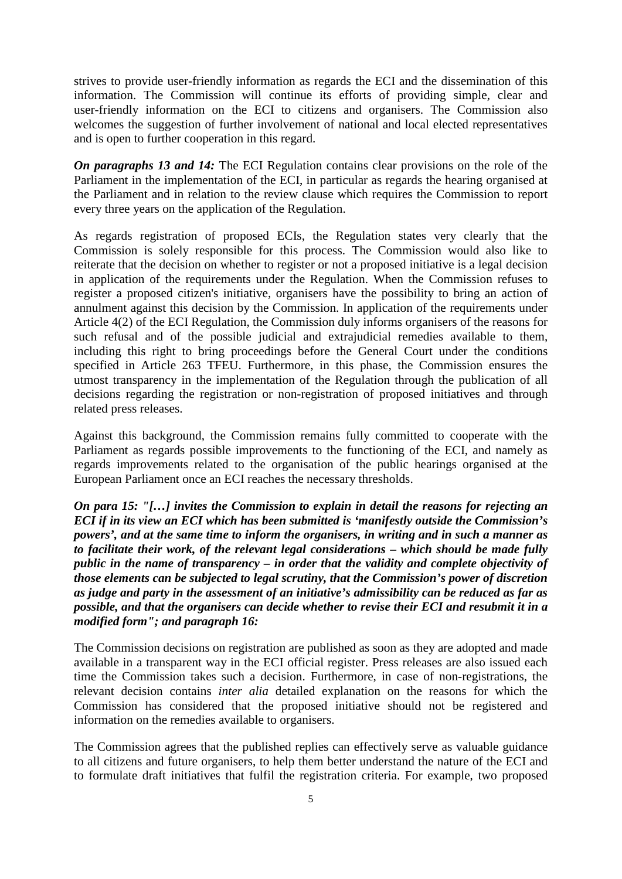strives to provide user-friendly information as regards the ECI and the dissemination of this information. The Commission will continue its efforts of providing simple, clear and user-friendly information on the ECI to citizens and organisers. The Commission also welcomes the suggestion of further involvement of national and local elected representatives and is open to further cooperation in this regard.

*On paragraphs 13 and 14:* The ECI Regulation contains clear provisions on the role of the Parliament in the implementation of the ECI, in particular as regards the hearing organised at the Parliament and in relation to the review clause which requires the Commission to report every three years on the application of the Regulation.

As regards registration of proposed ECIs, the Regulation states very clearly that the Commission is solely responsible for this process. The Commission would also like to reiterate that the decision on whether to register or not a proposed initiative is a legal decision in application of the requirements under the Regulation. When the Commission refuses to register a proposed citizen's initiative, organisers have the possibility to bring an action of annulment against this decision by the Commission. In application of the requirements under Article 4(2) of the ECI Regulation, the Commission duly informs organisers of the reasons for such refusal and of the possible judicial and extrajudicial remedies available to them, including this right to bring proceedings before the General Court under the conditions specified in Article 263 TFEU. Furthermore, in this phase, the Commission ensures the utmost transparency in the implementation of the Regulation through the publication of all decisions regarding the registration or non-registration of proposed initiatives and through related press releases.

Against this background, the Commission remains fully committed to cooperate with the Parliament as regards possible improvements to the functioning of the ECI, and namely as regards improvements related to the organisation of the public hearings organised at the European Parliament once an ECI reaches the necessary thresholds.

*On para 15: "[…] invites the Commission to explain in detail the reasons for rejecting an ECI if in its view an ECI which has been submitted is 'manifestly outside the Commission's powers', and at the same time to inform the organisers, in writing and in such a manner as to facilitate their work, of the relevant legal considerations – which should be made fully public in the name of transparency – in order that the validity and complete objectivity of those elements can be subjected to legal scrutiny, that the Commission's power of discretion as judge and party in the assessment of an initiative's admissibility can be reduced as far as possible, and that the organisers can decide whether to revise their ECI and resubmit it in a modified form"; and paragraph 16:*

The Commission decisions on registration are published as soon as they are adopted and made available in a transparent way in the ECI official register. Press releases are also issued each time the Commission takes such a decision. Furthermore, in case of non-registrations, the relevant decision contains *inter alia* detailed explanation on the reasons for which the Commission has considered that the proposed initiative should not be registered and information on the remedies available to organisers.

The Commission agrees that the published replies can effectively serve as valuable guidance to all citizens and future organisers, to help them better understand the nature of the ECI and to formulate draft initiatives that fulfil the registration criteria. For example, two proposed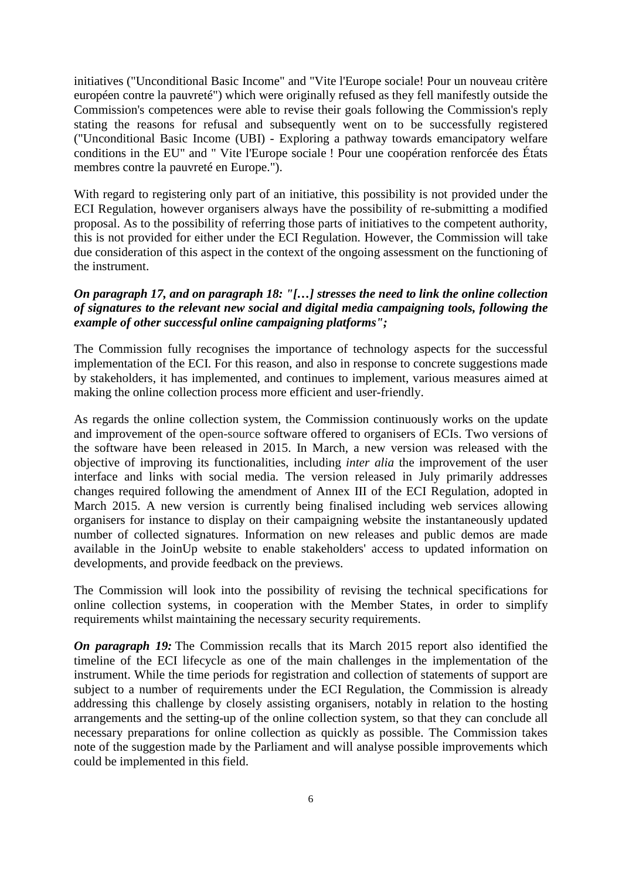initiatives ("Unconditional Basic Income" and "Vite l'Europe sociale! Pour un nouveau critère européen contre la pauvreté") which were originally refused as they fell manifestly outside the Commission's competences were able to revise their goals following the Commission's reply stating the reasons for refusal and subsequently went on to be successfully registered ("Unconditional Basic Income (UBI) - Exploring a pathway towards emancipatory welfare conditions in the EU" and " Vite l'Europe sociale ! Pour une coopération renforcée des États membres contre la pauvreté en Europe.").

With regard to registering only part of an initiative, this possibility is not provided under the ECI Regulation, however organisers always have the possibility of re-submitting a modified proposal. As to the possibility of referring those parts of initiatives to the competent authority, this is not provided for either under the ECI Regulation. However, the Commission will take due consideration of this aspect in the context of the ongoing assessment on the functioning of the instrument.

#### *On paragraph 17, and on paragraph 18: "[…] stresses the need to link the online collection of signatures to the relevant new social and digital media campaigning tools, following the example of other successful online campaigning platforms";*

The Commission fully recognises the importance of technology aspects for the successful implementation of the ECI. For this reason, and also in response to concrete suggestions made by stakeholders, it has implemented, and continues to implement, various measures aimed at making the online collection process more efficient and user-friendly.

As regards the online collection system, the Commission continuously works on the update and improvement of the open-source software offered to organisers of ECIs. Two versions of the software have been released in 2015. In March, a new version was released with the objective of improving its functionalities, including *inter alia* the improvement of the user interface and links with social media. The version released in July primarily addresses changes required following the amendment of Annex III of the ECI Regulation, adopted in March 2015. A new version is currently being finalised including web services allowing organisers for instance to display on their campaigning website the instantaneously updated number of collected signatures. Information on new releases and public demos are made available in the JoinUp website to enable stakeholders' access to updated information on developments, and provide feedback on the previews.

The Commission will look into the possibility of revising the technical specifications for online collection systems, in cooperation with the Member States, in order to simplify requirements whilst maintaining the necessary security requirements.

*On paragraph 19:* The Commission recalls that its March 2015 report also identified the timeline of the ECI lifecycle as one of the main challenges in the implementation of the instrument. While the time periods for registration and collection of statements of support are subject to a number of requirements under the ECI Regulation, the Commission is already addressing this challenge by closely assisting organisers, notably in relation to the hosting arrangements and the setting-up of the online collection system, so that they can conclude all necessary preparations for online collection as quickly as possible. The Commission takes note of the suggestion made by the Parliament and will analyse possible improvements which could be implemented in this field.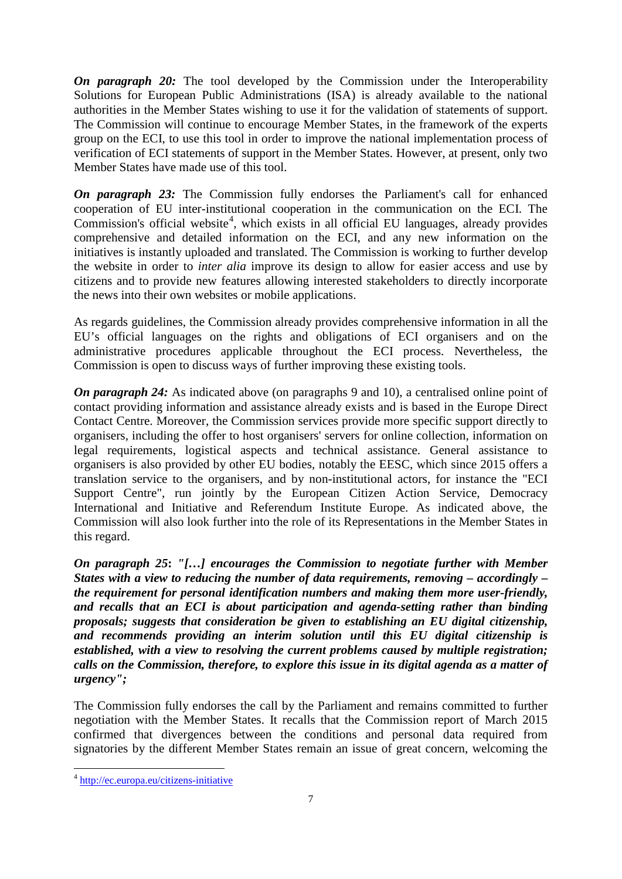*On paragraph 20:* The tool developed by the Commission under the Interoperability Solutions for European Public Administrations (ISA) is already available to the national authorities in the Member States wishing to use it for the validation of statements of support. The Commission will continue to encourage Member States, in the framework of the experts group on the ECI, to use this tool in order to improve the national implementation process of verification of ECI statements of support in the Member States. However, at present, only two Member States have made use of this tool.

*On paragraph 23:* The Commission fully endorses the Parliament's call for enhanced cooperation of EU inter-institutional cooperation in the communication on the ECI. The Commission's official website<sup>[4](#page-6-0)</sup>, which exists in all official EU languages, already provides comprehensive and detailed information on the ECI, and any new information on the initiatives is instantly uploaded and translated. The Commission is working to further develop the website in order to *inter alia* improve its design to allow for easier access and use by citizens and to provide new features allowing interested stakeholders to directly incorporate the news into their own websites or mobile applications.

As regards guidelines, the Commission already provides comprehensive information in all the EU's official languages on the rights and obligations of ECI organisers and on the administrative procedures applicable throughout the ECI process. Nevertheless, the Commission is open to discuss ways of further improving these existing tools.

*On paragraph 24:* As indicated above (on paragraphs 9 and 10), a centralised online point of contact providing information and assistance already exists and is based in the Europe Direct Contact Centre. Moreover, the Commission services provide more specific support directly to organisers, including the offer to host organisers' servers for online collection, information on legal requirements, logistical aspects and technical assistance. General assistance to organisers is also provided by other EU bodies, notably the EESC, which since 2015 offers a translation service to the organisers, and by non-institutional actors, for instance the "ECI Support Centre", run jointly by the European Citizen Action Service, Democracy International and Initiative and Referendum Institute Europe. As indicated above, the Commission will also look further into the role of its Representations in the Member States in this regard.

*On paragraph 25***:** *"[…] encourages the Commission to negotiate further with Member States with a view to reducing the number of data requirements, removing – accordingly – the requirement for personal identification numbers and making them more user-friendly, and recalls that an ECI is about participation and agenda-setting rather than binding proposals; suggests that consideration be given to establishing an EU digital citizenship, and recommends providing an interim solution until this EU digital citizenship is established, with a view to resolving the current problems caused by multiple registration; calls on the Commission, therefore, to explore this issue in its digital agenda as a matter of urgency";*

The Commission fully endorses the call by the Parliament and remains committed to further negotiation with the Member States. It recalls that the Commission report of March 2015 confirmed that divergences between the conditions and personal data required from signatories by the different Member States remain an issue of great concern, welcoming the

<span id="page-6-0"></span> $\frac{1}{4}$ <sup>4</sup> <http://ec.europa.eu/citizens-initiative>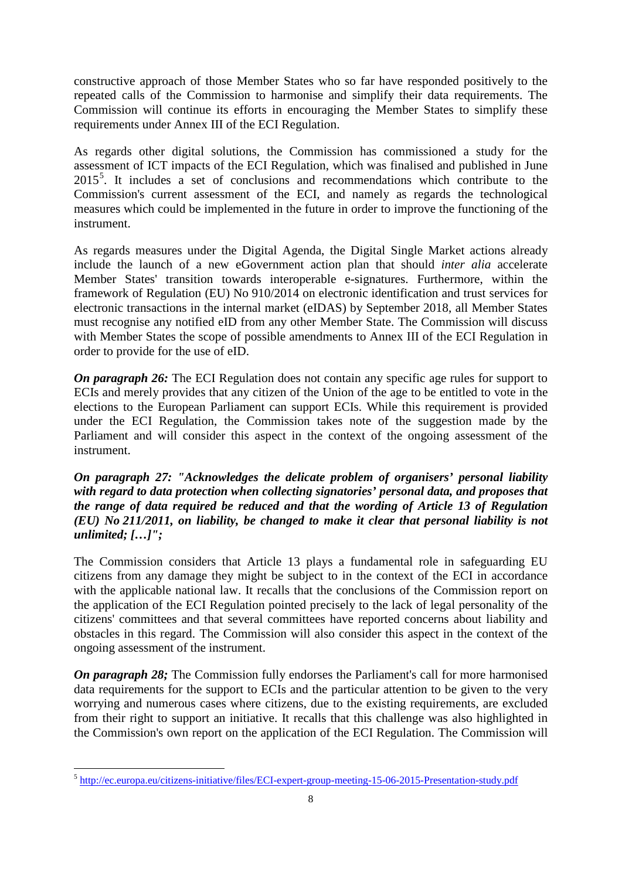constructive approach of those Member States who so far have responded positively to the repeated calls of the Commission to harmonise and simplify their data requirements. The Commission will continue its efforts in encouraging the Member States to simplify these requirements under Annex III of the ECI Regulation.

As regards other digital solutions, the Commission has commissioned a study for the assessment of ICT impacts of the ECI Regulation, which was finalised and published in June 201[5](#page-7-0)<sup>5</sup>. It includes a set of conclusions and recommendations which contribute to the Commission's current assessment of the ECI, and namely as regards the technological measures which could be implemented in the future in order to improve the functioning of the instrument.

As regards measures under the Digital Agenda, the Digital Single Market actions already include the launch of a new eGovernment action plan that should *inter alia* accelerate Member States' transition towards interoperable e-signatures. Furthermore, within the framework of Regulation (EU) No 910/2014 on electronic identification and trust services for electronic transactions in the internal market (eIDAS) by September 2018, all Member States must recognise any notified eID from any other Member State. The Commission will discuss with Member States the scope of possible amendments to Annex III of the ECI Regulation in order to provide for the use of eID.

*On paragraph 26:* The ECI Regulation does not contain any specific age rules for support to ECIs and merely provides that any citizen of the Union of the age to be entitled to vote in the elections to the European Parliament can support ECIs. While this requirement is provided under the ECI Regulation, the Commission takes note of the suggestion made by the Parliament and will consider this aspect in the context of the ongoing assessment of the instrument.

*On paragraph 27: "Acknowledges the delicate problem of organisers' personal liability with regard to data protection when collecting signatories' personal data, and proposes that the range of data required be reduced and that the wording of Article 13 of Regulation (EU) No 211/2011, on liability, be changed to make it clear that personal liability is not unlimited; […]";*

The Commission considers that Article 13 plays a fundamental role in safeguarding EU citizens from any damage they might be subject to in the context of the ECI in accordance with the applicable national law. It recalls that the conclusions of the Commission report on the application of the ECI Regulation pointed precisely to the lack of legal personality of the citizens' committees and that several committees have reported concerns about liability and obstacles in this regard. The Commission will also consider this aspect in the context of the ongoing assessment of the instrument.

*On paragraph 28;* The Commission fully endorses the Parliament's call for more harmonised data requirements for the support to ECIs and the particular attention to be given to the very worrying and numerous cases where citizens, due to the existing requirements, are excluded from their right to support an initiative. It recalls that this challenge was also highlighted in the Commission's own report on the application of the ECI Regulation. The Commission will

<span id="page-7-0"></span> $\frac{1}{\epsilon}$ <sup>5</sup> <http://ec.europa.eu/citizens-initiative/files/ECI-expert-group-meeting-15-06-2015-Presentation-study.pdf>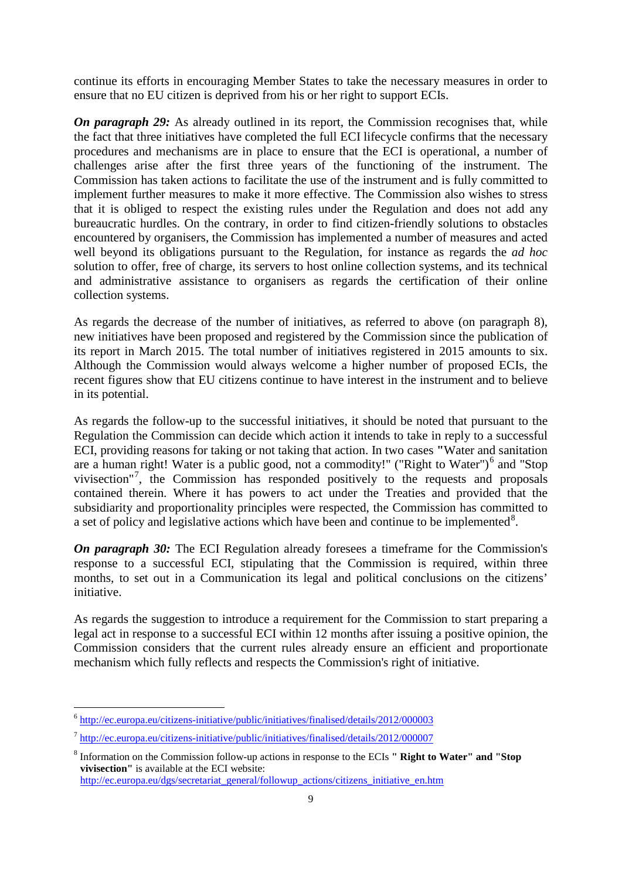continue its efforts in encouraging Member States to take the necessary measures in order to ensure that no EU citizen is deprived from his or her right to support ECIs.

*On paragraph 29:* As already outlined in its report, the Commission recognises that, while the fact that three initiatives have completed the full ECI lifecycle confirms that the necessary procedures and mechanisms are in place to ensure that the ECI is operational, a number of challenges arise after the first three years of the functioning of the instrument. The Commission has taken actions to facilitate the use of the instrument and is fully committed to implement further measures to make it more effective. The Commission also wishes to stress that it is obliged to respect the existing rules under the Regulation and does not add any bureaucratic hurdles. On the contrary, in order to find citizen-friendly solutions to obstacles encountered by organisers, the Commission has implemented a number of measures and acted well beyond its obligations pursuant to the Regulation, for instance as regards the *ad hoc* solution to offer, free of charge, its servers to host online collection systems, and its technical and administrative assistance to organisers as regards the certification of their online collection systems.

As regards the decrease of the number of initiatives, as referred to above (on paragraph 8), new initiatives have been proposed and registered by the Commission since the publication of its report in March 2015. The total number of initiatives registered in 2015 amounts to six. Although the Commission would always welcome a higher number of proposed ECIs, the recent figures show that EU citizens continue to have interest in the instrument and to believe in its potential.

As regards the follow-up to the successful initiatives, it should be noted that pursuant to the Regulation the Commission can decide which action it intends to take in reply to a successful ECI, providing reasons for taking or not taking that action. In two cases **"**Water and sanitation are a human right! Water is a public good, not a commodity!" ("Right to Water")<sup>[6](#page-8-0)</sup> and "Stop vivisection"<sup>[7](#page-8-1)</sup>, the Commission has responded positively to the requests and proposals contained therein. Where it has powers to act under the Treaties and provided that the subsidiarity and proportionality principles were respected, the Commission has committed to a set of policy and legislative actions which have been and continue to be implemented<sup>[8](#page-8-2)</sup>.

*On paragraph 30:* The ECI Regulation already foresees a timeframe for the Commission's response to a successful ECI, stipulating that the Commission is required, within three months, to set out in a Communication its legal and political conclusions on the citizens' initiative.

As regards the suggestion to introduce a requirement for the Commission to start preparing a legal act in response to a successful ECI within 12 months after issuing a positive opinion, the Commission considers that the current rules already ensure an efficient and proportionate mechanism which fully reflects and respects the Commission's right of initiative.

[http://ec.europa.eu/dgs/secretariat\\_general/followup\\_actions/citizens\\_initiative\\_en.htm](http://ec.europa.eu/dgs/secretariat_general/followup_actions/citizens_initiative_en.htm)

<span id="page-8-0"></span> $\overline{\phantom{a}}$ <sup>6</sup> <http://ec.europa.eu/citizens-initiative/public/initiatives/finalised/details/2012/000003>

<span id="page-8-1"></span><sup>7</sup> <http://ec.europa.eu/citizens-initiative/public/initiatives/finalised/details/2012/000007>

<span id="page-8-2"></span><sup>8</sup> Information on the Commission follow-up actions in response to the ECIs **" Right to Water" and "Stop vivisection"** is available at the ECI website: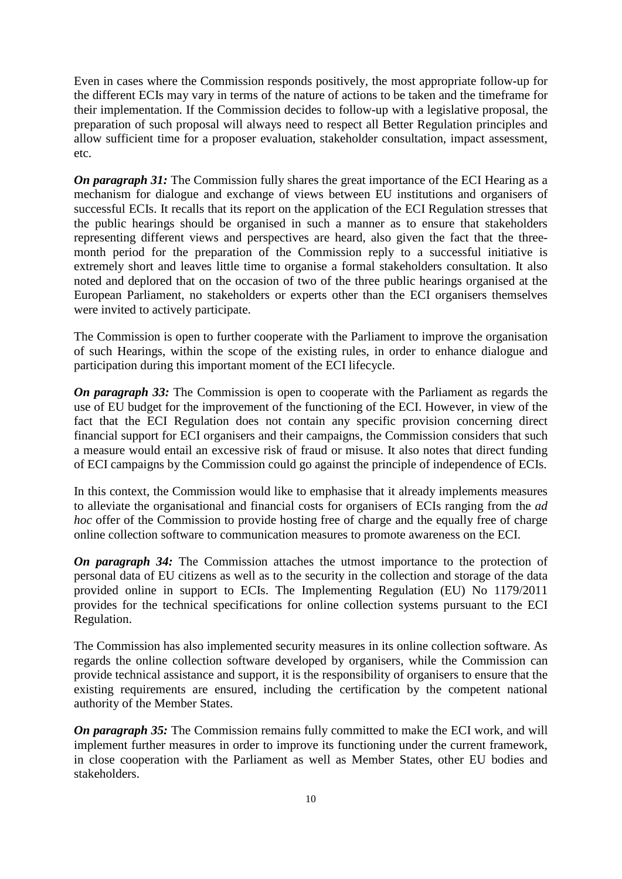Even in cases where the Commission responds positively, the most appropriate follow-up for the different ECIs may vary in terms of the nature of actions to be taken and the timeframe for their implementation. If the Commission decides to follow-up with a legislative proposal, the preparation of such proposal will always need to respect all Better Regulation principles and allow sufficient time for a proposer evaluation, stakeholder consultation, impact assessment, etc.

*On paragraph 31:* The Commission fully shares the great importance of the ECI Hearing as a mechanism for dialogue and exchange of views between EU institutions and organisers of successful ECIs. It recalls that its report on the application of the ECI Regulation stresses that the public hearings should be organised in such a manner as to ensure that stakeholders representing different views and perspectives are heard, also given the fact that the threemonth period for the preparation of the Commission reply to a successful initiative is extremely short and leaves little time to organise a formal stakeholders consultation. It also noted and deplored that on the occasion of two of the three public hearings organised at the European Parliament, no stakeholders or experts other than the ECI organisers themselves were invited to actively participate.

The Commission is open to further cooperate with the Parliament to improve the organisation of such Hearings, within the scope of the existing rules, in order to enhance dialogue and participation during this important moment of the ECI lifecycle.

*On paragraph 33:* The Commission is open to cooperate with the Parliament as regards the use of EU budget for the improvement of the functioning of the ECI. However, in view of the fact that the ECI Regulation does not contain any specific provision concerning direct financial support for ECI organisers and their campaigns, the Commission considers that such a measure would entail an excessive risk of fraud or misuse. It also notes that direct funding of ECI campaigns by the Commission could go against the principle of independence of ECIs.

In this context, the Commission would like to emphasise that it already implements measures to alleviate the organisational and financial costs for organisers of ECIs ranging from the *ad hoc* offer of the Commission to provide hosting free of charge and the equally free of charge online collection software to communication measures to promote awareness on the ECI.

*On paragraph 34:* The Commission attaches the utmost importance to the protection of personal data of EU citizens as well as to the security in the collection and storage of the data provided online in support to ECIs. The Implementing Regulation (EU) No 1179/2011 provides for the technical specifications for online collection systems pursuant to the ECI Regulation.

The Commission has also implemented security measures in its online collection software. As regards the online collection software developed by organisers, while the Commission can provide technical assistance and support, it is the responsibility of organisers to ensure that the existing requirements are ensured, including the certification by the competent national authority of the Member States.

*On paragraph 35:* The Commission remains fully committed to make the ECI work, and will implement further measures in order to improve its functioning under the current framework, in close cooperation with the Parliament as well as Member States, other EU bodies and stakeholders.